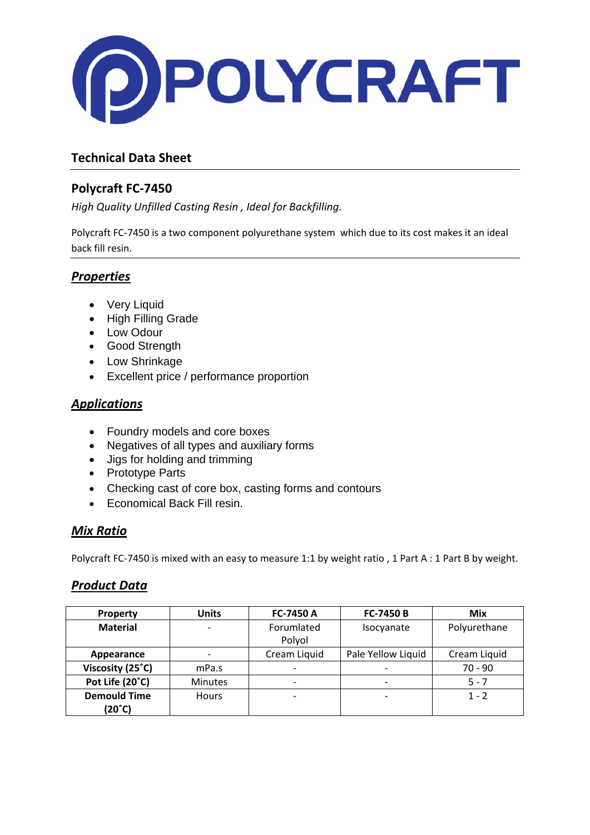

# **Technical Data Sheet**

# **Polycraft FC‐7450**

*High Quality Unfilled Casting Resin , Ideal for Backfilling.*

Polycraft FC‐7450 is a two component polyurethane system which due to its cost makes it an ideal back fill resin.

## *Properties*

- Very Liquid
- High Filling Grade
- Low Odour
- Good Strength
- Low Shrinkage
- Excellent price / performance proportion

### *Applications*

- Foundry models and core boxes
- Negatives of all types and auxiliary forms
- Jigs for holding and trimming
- Prototype Parts
- Checking cast of core box, casting forms and contours
- Economical Back Fill resin.

### *Mix Ratio*

Polycraft FC-7450 is mixed with an easy to measure 1:1 by weight ratio, 1 Part A : 1 Part B by weight.

### *Product Data*

| <b>Property</b>     | <b>Units</b>   | FC-7450 A                | <b>FC-7450 B</b>         | Mix          |
|---------------------|----------------|--------------------------|--------------------------|--------------|
| <b>Material</b>     |                | Forumlated               | Isocyanate               | Polyurethane |
|                     |                | Polyol                   |                          |              |
| Appearance          |                | Cream Liquid             | Pale Yellow Liquid       | Cream Liquid |
| Viscosity (25°C)    | mPa.s          |                          |                          | $70 - 90$    |
| Pot Life (20°C)     | <b>Minutes</b> | $\overline{\phantom{0}}$ | $\overline{\phantom{0}}$ | $5 - 7$      |
| <b>Demould Time</b> | <b>Hours</b>   |                          |                          | $1 - 2$      |
| (20°C)              |                |                          |                          |              |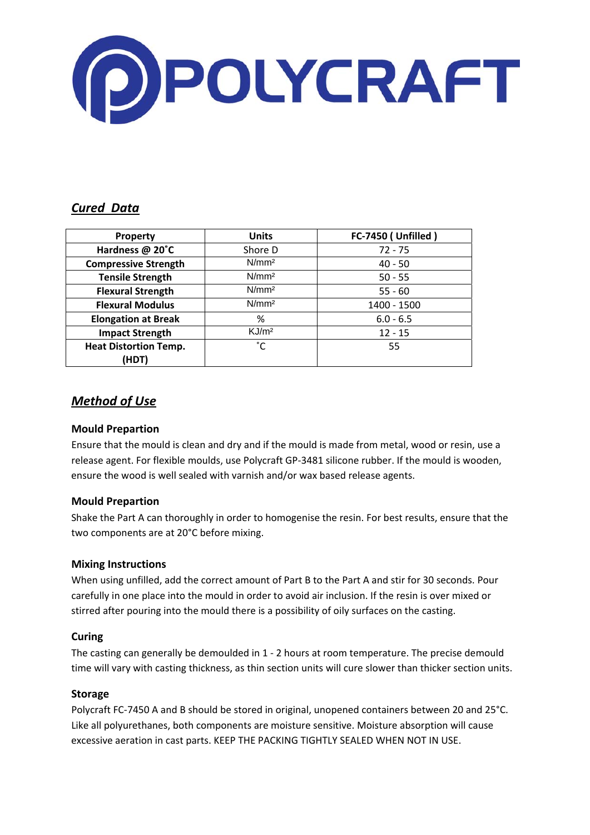

### *Cured Data*

| <b>Property</b>              | <b>FC-7450 (Unfilled)</b><br><b>Units</b> |             |  |
|------------------------------|-------------------------------------------|-------------|--|
| Hardness @ 20°C              | Shore D                                   | $72 - 75$   |  |
| <b>Compressive Strength</b>  | N/mm <sup>2</sup>                         | $40 - 50$   |  |
| <b>Tensile Strength</b>      | N/mm <sup>2</sup>                         | $50 - 55$   |  |
| <b>Flexural Strength</b>     | N/mm <sup>2</sup>                         | $55 - 60$   |  |
| <b>Flexural Modulus</b>      | N/mm <sup>2</sup>                         | 1400 - 1500 |  |
| <b>Elongation at Break</b>   | %                                         | $6.0 - 6.5$ |  |
| <b>Impact Strength</b>       | KJ/m <sup>2</sup>                         | $12 - 15$   |  |
| <b>Heat Distortion Temp.</b> | °С                                        | 55          |  |
| (HDT)                        |                                           |             |  |

## *Method of Use*

#### **Mould Prepartion**

Ensure that the mould is clean and dry and if the mould is made from metal, wood or resin, use a release agent. For flexible moulds, use Polycraft GP‐3481 silicone rubber. If the mould is wooden, ensure the wood is well sealed with varnish and/or wax based release agents.

#### **Mould Prepartion**

Shake the Part A can thoroughly in order to homogenise the resin. For best results, ensure that the two components are at 20°C before mixing.

#### **Mixing Instructions**

When using unfilled, add the correct amount of Part B to the Part A and stir for 30 seconds. Pour carefully in one place into the mould in order to avoid air inclusion. If the resin is over mixed or stirred after pouring into the mould there is a possibility of oily surfaces on the casting.

#### **Curing**

The casting can generally be demoulded in 1 ‐ 2 hours at room temperature. The precise demould time will vary with casting thickness, as thin section units will cure slower than thicker section units.

#### **Storage**

Polycraft FC‐7450 A and B should be stored in original, unopened containers between 20 and 25°C. Like all polyurethanes, both components are moisture sensitive. Moisture absorption will cause excessive aeration in cast parts. KEEP THE PACKING TIGHTLY SEALED WHEN NOT IN USE.